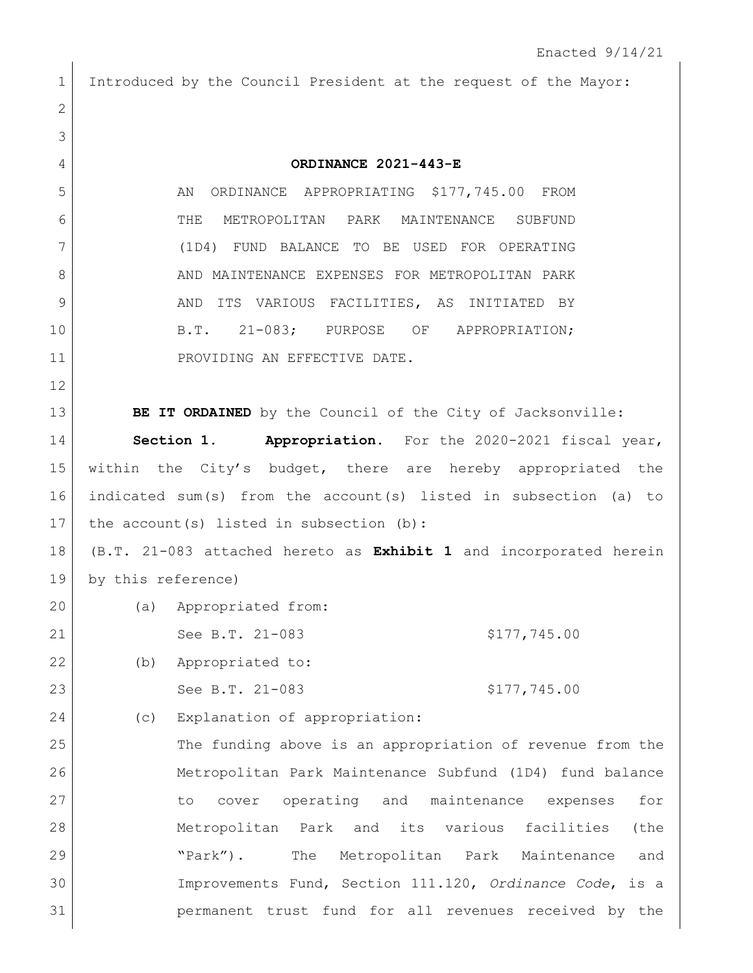| 1            | Introduced by the Council President at the request of the Mayor:  |
|--------------|-------------------------------------------------------------------|
| $\mathbf{2}$ |                                                                   |
| 3            |                                                                   |
| 4            | ORDINANCE 2021-443-E                                              |
| 5            | ORDINANCE APPROPRIATING \$177,745.00 FROM<br>AN                   |
| 6            | METROPOLITAN PARK MAINTENANCE SUBFUND<br>THE                      |
| 7            | (1D4) FUND BALANCE TO BE USED FOR OPERATING                       |
| 8            | AND MAINTENANCE EXPENSES FOR METROPOLITAN PARK                    |
| 9            | ITS VARIOUS FACILITIES, AS INITIATED BY<br>AND                    |
| 10           | B.T. 21-083; PURPOSE OF APPROPRIATION;                            |
| 11           | PROVIDING AN EFFECTIVE DATE.                                      |
| 12           |                                                                   |
| 13           | BE IT ORDAINED by the Council of the City of Jacksonville:        |
| 14           | Section 1. Appropriation. For the 2020-2021 fiscal year,          |
| 15           | within the City's budget, there are hereby appropriated the       |
| 16           | indicated sum(s) from the account(s) listed in subsection (a) to  |
| 17           | the $account(s)$ listed in subsection (b):                        |
| 18           | (B.T. 21-083 attached hereto as Exhibit 1 and incorporated herein |
| 19           | by this reference)                                                |
| 20           | (a) Appropriated from:                                            |
| 21           | See B.T. 21-083<br>\$177,745.00                                   |
| 22           | Appropriated to:<br>(b)                                           |
| 23           | See B.T. 21-083<br>\$177,745.00                                   |
| 24           | Explanation of appropriation:<br>(C)                              |
| 25           | The funding above is an appropriation of revenue from the         |
| 26           | Metropolitan Park Maintenance Subfund (1D4) fund balance          |
| 27           | operating and maintenance expenses<br>for<br>cover<br>to          |
| 28           | Metropolitan Park and its various facilities<br>(the              |
| 29           | The Metropolitan Park Maintenance<br>" $\text{Park}$ ").<br>and   |
| 30           | Improvements Fund, Section 111.120, Ordinance Code, is a          |
| 31           | permanent trust fund for all revenues received by the             |